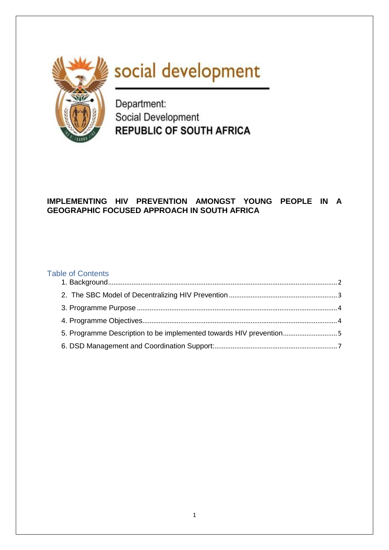

# social development

Department: Social Development **REPUBLIC OF SOUTH AFRICA** 

# **IMPLEMENTING HIV PREVENTION AMONGST YOUNG PEOPLE IN A GEOGRAPHIC FOCUSED APPROACH IN SOUTH AFRICA**

## Table of Contents

| 5. Programme Description to be implemented towards HIV prevention5 |  |
|--------------------------------------------------------------------|--|
|                                                                    |  |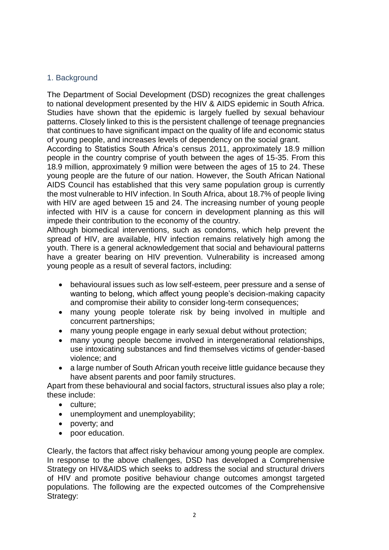## <span id="page-1-0"></span>1. Background

The Department of Social Development (DSD) recognizes the great challenges to national development presented by the HIV & AIDS epidemic in South Africa. Studies have shown that the epidemic is largely fuelled by sexual behaviour patterns. Closely linked to this is the persistent challenge of teenage pregnancies that continues to have significant impact on the quality of life and economic status of young people, and increases levels of dependency on the social grant.

According to Statistics South Africa's census 2011, approximately 18.9 million people in the country comprise of youth between the ages of 15-35. From this 18.9 million, approximately 9 million were between the ages of 15 to 24. These young people are the future of our nation. However, the South African National AIDS Council has established that this very same population group is currently the most vulnerable to HIV infection. In South Africa, about 18.7% of people living with HIV are aged between 15 and 24. The increasing number of young people infected with HIV is a cause for concern in development planning as this will impede their contribution to the economy of the country.

Although biomedical interventions, such as condoms, which help prevent the spread of HIV, are available, HIV infection remains relatively high among the youth. There is a general acknowledgement that social and behavioural patterns have a greater bearing on HIV prevention. Vulnerability is increased among young people as a result of several factors, including:

- behavioural issues such as low self-esteem, peer pressure and a sense of wanting to belong, which affect young people's decision-making capacity and compromise their ability to consider long-term consequences;
- many young people tolerate risk by being involved in multiple and concurrent partnerships;
- many young people engage in early sexual debut without protection;
- many young people become involved in intergenerational relationships, use intoxicating substances and find themselves victims of gender-based violence; and
- a large number of South African youth receive little guidance because they have absent parents and poor family structures.

Apart from these behavioural and social factors, structural issues also play a role; these include:

- culture:
- unemployment and unemployability;
- poverty; and
- poor education.

Clearly, the factors that affect risky behaviour among young people are complex. In response to the above challenges, DSD has developed a Comprehensive Strategy on HIV&AIDS which seeks to address the social and structural drivers of HIV and promote positive behaviour change outcomes amongst targeted populations. The following are the expected outcomes of the Comprehensive Strategy: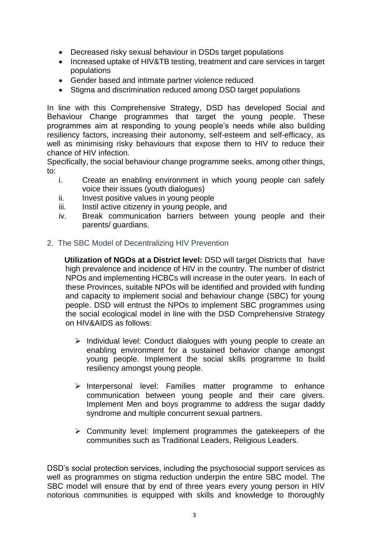- Decreased risky sexual behaviour in DSDs target populations
- Increased uptake of HIV&TB testing, treatment and care services in target populations
- Gender based and intimate partner violence reduced
- Stigma and discrimination reduced among DSD target populations

In line with this Comprehensive Strategy, DSD has developed Social and Behaviour Change programmes that target the young people. These programmes aim at responding to young people's needs while also building resiliency factors, increasing their autonomy, self-esteem and self-efficacy, as well as minimising risky behaviours that expose them to HIV to reduce their chance of HIV infection.

Specifically, the social behaviour change programme seeks, among other things, to:

- i. Create an enabling environment in which young people can safely voice their issues (youth dialogues)
- ii. Invest positive values in young people
- iii. Instil active citizenry in young people, and
- iv. Break communication barriers between young people and their parents/ guardians.

#### <span id="page-2-0"></span>2. The SBC Model of Decentralizing HIV Prevention

 **Utilization of NGOs at a District level:** DSD will target Districts that have high prevalence and incidence of HIV in the country. The number of district NPOs and implementing HCBCs will increase in the outer years. In each of these Provinces, suitable NPOs will be identified and provided with funding and capacity to implement social and behaviour change (SBC) for young people. DSD will entrust the NPOs to implement SBC programmes using the social ecological model in line with the DSD Comprehensive Strategy on HIV&AIDS as follows:

- $\triangleright$  Individual level: Conduct dialogues with young people to create an enabling environment for a sustained behavior change amongst young people. Implement the social skills programme to build resiliency amongst young people.
- $\triangleright$  Interpersonal level: Families matter programme to enhance communication between young people and their care givers. Implement Men and boys programme to address the sugar daddy syndrome and multiple concurrent sexual partners.
- $\triangleright$  Community level: Implement programmes the gatekeepers of the communities such as Traditional Leaders, Religious Leaders.

DSD's social protection services, including the psychosocial support services as well as programmes on stigma reduction underpin the entire SBC model. The SBC model will ensure that by end of three years every young person in HIV notorious communities is equipped with skills and knowledge to thoroughly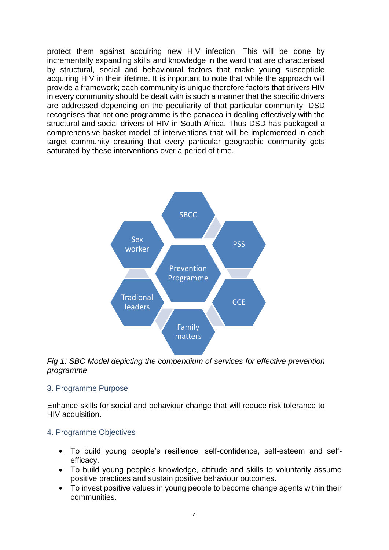protect them against acquiring new HIV infection. This will be done by incrementally expanding skills and knowledge in the ward that are characterised by structural, social and behavioural factors that make young susceptible acquiring HIV in their lifetime. It is important to note that while the approach will provide a framework; each community is unique therefore factors that drivers HIV in every community should be dealt with is such a manner that the specific drivers are addressed depending on the peculiarity of that particular community. DSD recognises that not one programme is the panacea in dealing effectively with the structural and social drivers of HIV in South Africa. Thus DSD has packaged a comprehensive basket model of interventions that will be implemented in each target community ensuring that every particular geographic community gets saturated by these interventions over a period of time.



*Fig 1: SBC Model depicting the compendium of services for effective prevention programme*

## <span id="page-3-0"></span>3. Programme Purpose

Enhance skills for social and behaviour change that will reduce risk tolerance to HIV acquisition.

## <span id="page-3-1"></span>4. Programme Objectives

- To build young people's resilience, self-confidence, self-esteem and selfefficacy.
- To build young people's knowledge, attitude and skills to voluntarily assume positive practices and sustain positive behaviour outcomes.
- To invest positive values in young people to become change agents within their communities.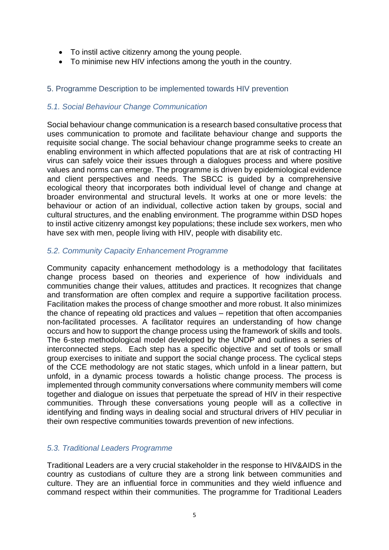- To instil active citizenry among the young people.
- To minimise new HIV infections among the youth in the country.

# <span id="page-4-0"></span>5. Programme Description to be implemented towards HIV prevention

## *5.1. Social Behaviour Change Communication*

Social behaviour change communication is a research based consultative process that uses communication to promote and facilitate behaviour change and supports the requisite social change. The social behaviour change programme seeks to create an enabling environment in which affected populations that are at risk of contracting HI virus can safely voice their issues through a dialogues process and where positive values and norms can emerge. The programme is driven by epidemiological evidence and client perspectives and needs. The SBCC is guided by a comprehensive ecological theory that incorporates both individual level of change and change at broader environmental and structural levels. It works at one or more levels: the behaviour or action of an individual, collective action taken by groups, social and cultural structures, and the enabling environment. The programme within DSD hopes to instil active citizenry amongst key populations; these include sex workers, men who have sex with men, people living with HIV, people with disability etc.

# *5.2. Community Capacity Enhancement Programme*

Community capacity enhancement methodology is a methodology that facilitates change process based on theories and experience of how individuals and communities change their values, attitudes and practices. It recognizes that change and transformation are often complex and require a supportive facilitation process. Facilitation makes the process of change smoother and more robust. It also minimizes the chance of repeating old practices and values – repetition that often accompanies non-facilitated processes. A facilitator requires an understanding of how change occurs and how to support the change process using the framework of skills and tools. The 6-step methodological model developed by the UNDP and outlines a series of interconnected steps. Each step has a specific objective and set of tools or small group exercises to initiate and support the social change process. The cyclical steps of the CCE methodology are not static stages, which unfold in a linear pattern, but unfold, in a dynamic process towards a holistic change process. The process is implemented through community conversations where community members will come together and dialogue on issues that perpetuate the spread of HIV in their respective communities. Through these conversations young people will as a collective in identifying and finding ways in dealing social and structural drivers of HIV peculiar in their own respective communities towards prevention of new infections.

# *5.3. Traditional Leaders Programme*

Traditional Leaders are a very crucial stakeholder in the response to HIV&AIDS in the country as custodians of culture they are a strong link between communities and culture. They are an influential force in communities and they wield influence and command respect within their communities. The programme for Traditional Leaders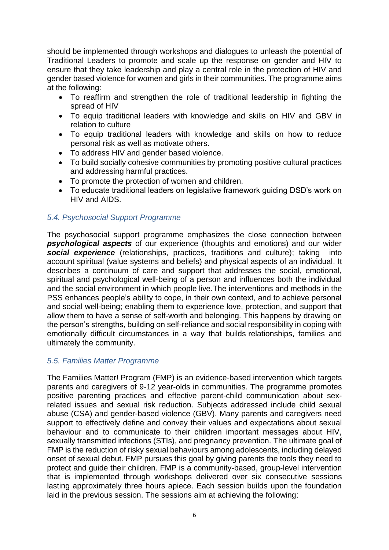should be implemented through workshops and dialogues to unleash the potential of Traditional Leaders to promote and scale up the response on gender and HIV to ensure that they take leadership and play a central role in the protection of HIV and gender based violence for women and girls in their communities. The programme aims at the following:

- To reaffirm and strengthen the role of traditional leadership in fighting the spread of HIV
- To equip traditional leaders with knowledge and skills on HIV and GBV in relation to culture
- To equip traditional leaders with knowledge and skills on how to reduce personal risk as well as motivate others.
- To address HIV and gender based violence.
- To build socially cohesive communities by promoting positive cultural practices and addressing harmful practices.
- To promote the protection of women and children.
- To educate traditional leaders on legislative framework guiding DSD's work on HIV and AIDS.

# *5.4. Psychosocial Support Programme*

The psychosocial support programme emphasizes the close connection between *psychological aspects* of our experience (thoughts and emotions) and our wider *social experience* (relationships, practices, traditions and culture); taking into account spiritual (value systems and beliefs) and physical aspects of an individual. It describes a continuum of care and support that addresses the social, emotional, spiritual and psychological well-being of a person and influences both the individual and the social environment in which people live.The interventions and methods in the PSS enhances people's ability to cope, in their own context, and to achieve personal and social well-being; enabling them to experience love, protection, and support that allow them to have a sense of self-worth and belonging. This happens by drawing on the person's strengths, building on self-reliance and social responsibility in coping with emotionally difficult circumstances in a way that builds relationships, families and ultimately the community.

## *5.5. Families Matter Programme*

The Families Matter! Program (FMP) is an evidence-based intervention which targets parents and caregivers of 9-12 year-olds in communities. The programme promotes positive parenting practices and effective parent-child communication about sexrelated issues and sexual risk reduction. Subjects addressed include child sexual abuse (CSA) and gender-based violence (GBV). Many parents and caregivers need support to effectively define and convey their values and expectations about sexual behaviour and to communicate to their children important messages about HIV, sexually transmitted infections (STIs), and pregnancy prevention. The ultimate goal of FMP is the reduction of risky sexual behaviours among adolescents, including delayed onset of sexual debut. FMP pursues this goal by giving parents the tools they need to protect and guide their children. FMP is a community-based, group-level intervention that is implemented through workshops delivered over six consecutive sessions lasting approximately three hours apiece. Each session builds upon the foundation laid in the previous session. The sessions aim at achieving the following: